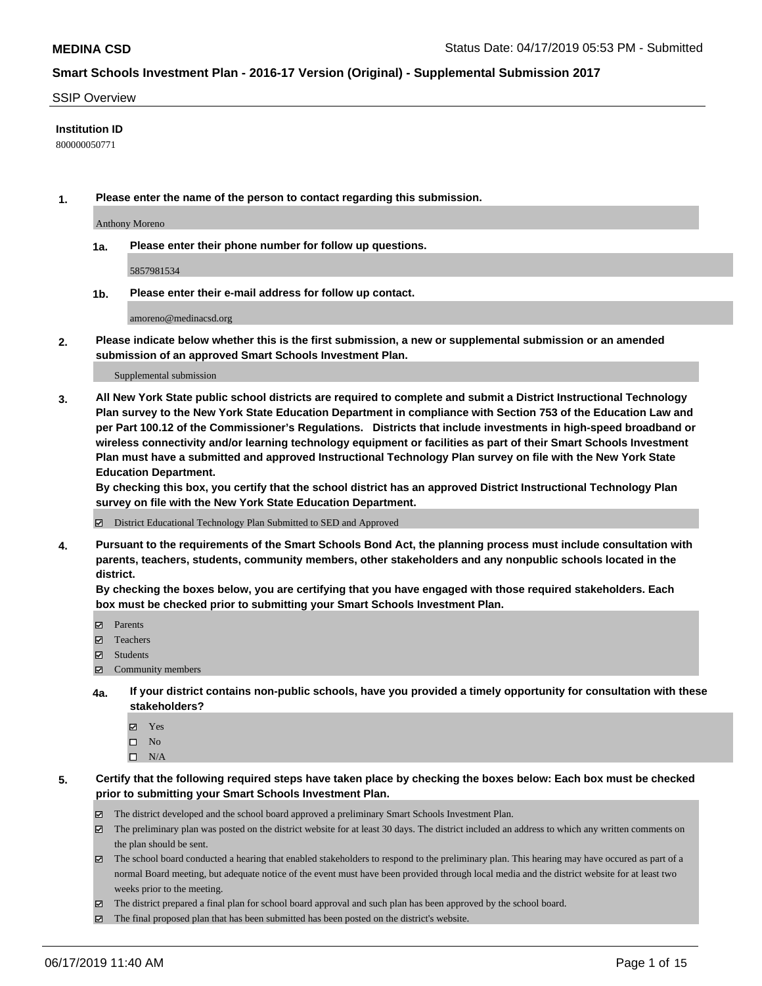#### SSIP Overview

### **Institution ID**

800000050771

**1. Please enter the name of the person to contact regarding this submission.**

Anthony Moreno

**1a. Please enter their phone number for follow up questions.**

5857981534

**1b. Please enter their e-mail address for follow up contact.**

amoreno@medinacsd.org

**2. Please indicate below whether this is the first submission, a new or supplemental submission or an amended submission of an approved Smart Schools Investment Plan.**

#### Supplemental submission

**3. All New York State public school districts are required to complete and submit a District Instructional Technology Plan survey to the New York State Education Department in compliance with Section 753 of the Education Law and per Part 100.12 of the Commissioner's Regulations. Districts that include investments in high-speed broadband or wireless connectivity and/or learning technology equipment or facilities as part of their Smart Schools Investment Plan must have a submitted and approved Instructional Technology Plan survey on file with the New York State Education Department.** 

**By checking this box, you certify that the school district has an approved District Instructional Technology Plan survey on file with the New York State Education Department.**

District Educational Technology Plan Submitted to SED and Approved

**4. Pursuant to the requirements of the Smart Schools Bond Act, the planning process must include consultation with parents, teachers, students, community members, other stakeholders and any nonpublic schools located in the district.** 

**By checking the boxes below, you are certifying that you have engaged with those required stakeholders. Each box must be checked prior to submitting your Smart Schools Investment Plan.**

- Parents
- Teachers
- Students
- Community members
- **4a. If your district contains non-public schools, have you provided a timely opportunity for consultation with these stakeholders?**
	- Yes
	- $\square$  No
	- $\square$  N/A
- **5. Certify that the following required steps have taken place by checking the boxes below: Each box must be checked prior to submitting your Smart Schools Investment Plan.**
	- The district developed and the school board approved a preliminary Smart Schools Investment Plan.
	- $\boxtimes$  The preliminary plan was posted on the district website for at least 30 days. The district included an address to which any written comments on the plan should be sent.
	- $\boxtimes$  The school board conducted a hearing that enabled stakeholders to respond to the preliminary plan. This hearing may have occured as part of a normal Board meeting, but adequate notice of the event must have been provided through local media and the district website for at least two weeks prior to the meeting.
	- The district prepared a final plan for school board approval and such plan has been approved by the school board.
	- $\boxtimes$  The final proposed plan that has been submitted has been posted on the district's website.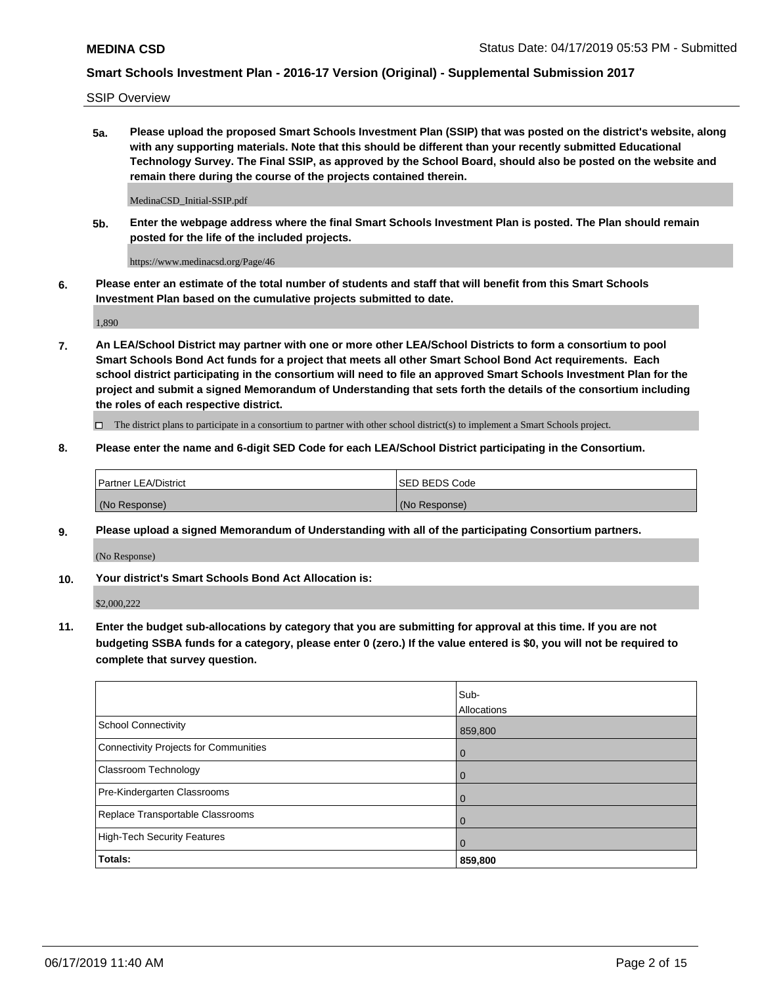SSIP Overview

**5a. Please upload the proposed Smart Schools Investment Plan (SSIP) that was posted on the district's website, along with any supporting materials. Note that this should be different than your recently submitted Educational Technology Survey. The Final SSIP, as approved by the School Board, should also be posted on the website and remain there during the course of the projects contained therein.**

MedinaCSD\_Initial-SSIP.pdf

**5b. Enter the webpage address where the final Smart Schools Investment Plan is posted. The Plan should remain posted for the life of the included projects.**

https://www.medinacsd.org/Page/46

**6. Please enter an estimate of the total number of students and staff that will benefit from this Smart Schools Investment Plan based on the cumulative projects submitted to date.**

1,890

**7. An LEA/School District may partner with one or more other LEA/School Districts to form a consortium to pool Smart Schools Bond Act funds for a project that meets all other Smart School Bond Act requirements. Each school district participating in the consortium will need to file an approved Smart Schools Investment Plan for the project and submit a signed Memorandum of Understanding that sets forth the details of the consortium including the roles of each respective district.**

 $\Box$  The district plans to participate in a consortium to partner with other school district(s) to implement a Smart Schools project.

### **8. Please enter the name and 6-digit SED Code for each LEA/School District participating in the Consortium.**

| Partner LEA/District | <b>ISED BEDS Code</b> |
|----------------------|-----------------------|
| (No Response)        | (No Response)         |

### **9. Please upload a signed Memorandum of Understanding with all of the participating Consortium partners.**

(No Response)

**10. Your district's Smart Schools Bond Act Allocation is:**

\$2,000,222

**11. Enter the budget sub-allocations by category that you are submitting for approval at this time. If you are not budgeting SSBA funds for a category, please enter 0 (zero.) If the value entered is \$0, you will not be required to complete that survey question.**

|                                       | Sub-<br><b>Allocations</b> |
|---------------------------------------|----------------------------|
| <b>School Connectivity</b>            | 859,800                    |
| Connectivity Projects for Communities | $\mathbf 0$                |
| Classroom Technology                  | $\mathbf 0$                |
| Pre-Kindergarten Classrooms           | 0                          |
| Replace Transportable Classrooms      | $\Omega$                   |
| High-Tech Security Features           | $\Omega$                   |
| Totals:                               | 859,800                    |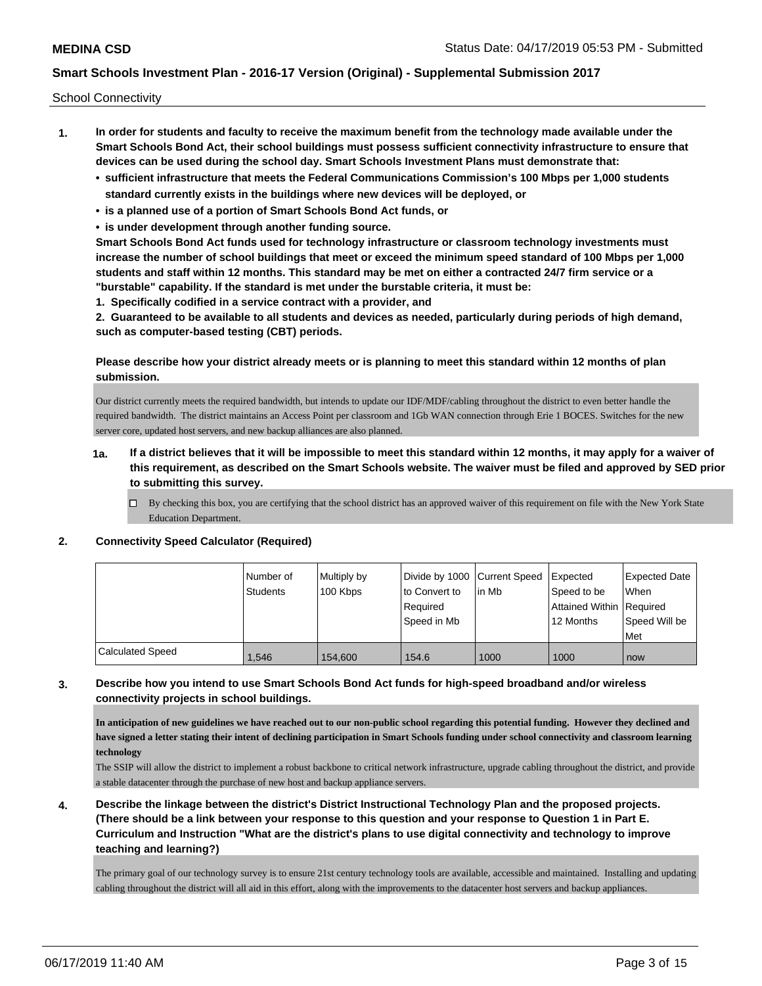School Connectivity

- **1. In order for students and faculty to receive the maximum benefit from the technology made available under the Smart Schools Bond Act, their school buildings must possess sufficient connectivity infrastructure to ensure that devices can be used during the school day. Smart Schools Investment Plans must demonstrate that:**
	- **• sufficient infrastructure that meets the Federal Communications Commission's 100 Mbps per 1,000 students standard currently exists in the buildings where new devices will be deployed, or**
	- **• is a planned use of a portion of Smart Schools Bond Act funds, or**
	- **• is under development through another funding source.**

**Smart Schools Bond Act funds used for technology infrastructure or classroom technology investments must increase the number of school buildings that meet or exceed the minimum speed standard of 100 Mbps per 1,000 students and staff within 12 months. This standard may be met on either a contracted 24/7 firm service or a "burstable" capability. If the standard is met under the burstable criteria, it must be:**

**1. Specifically codified in a service contract with a provider, and**

**2. Guaranteed to be available to all students and devices as needed, particularly during periods of high demand, such as computer-based testing (CBT) periods.**

## **Please describe how your district already meets or is planning to meet this standard within 12 months of plan submission.**

Our district currently meets the required bandwidth, but intends to update our IDF/MDF/cabling throughout the district to even better handle the required bandwidth. The district maintains an Access Point per classroom and 1Gb WAN connection through Erie 1 BOCES. Switches for the new server core, updated host servers, and new backup alliances are also planned.

- **1a. If a district believes that it will be impossible to meet this standard within 12 months, it may apply for a waiver of this requirement, as described on the Smart Schools website. The waiver must be filed and approved by SED prior to submitting this survey.**
	- $\Box$  By checking this box, you are certifying that the school district has an approved waiver of this requirement on file with the New York State Education Department.

### **2. Connectivity Speed Calculator (Required)**

|                         | Number of<br><b>Students</b> | Multiply by<br>100 Kbps | Divide by 1000 Current Speed<br>to Convert to<br>Required<br>Speed in Mb | lin Mb | <b>I</b> Expected<br>Speed to be<br>Attained Within Required<br>12 Months | <b>Expected Date</b><br>When<br>Speed Will be<br>Met |
|-------------------------|------------------------------|-------------------------|--------------------------------------------------------------------------|--------|---------------------------------------------------------------------------|------------------------------------------------------|
| <b>Calculated Speed</b> | 1,546                        | 154,600                 | 154.6                                                                    | 1000   | 1000                                                                      | now                                                  |

## **3. Describe how you intend to use Smart Schools Bond Act funds for high-speed broadband and/or wireless connectivity projects in school buildings.**

**In anticipation of new guidelines we have reached out to our non-public school regarding this potential funding. However they declined and have signed a letter stating their intent of declining participation in Smart Schools funding under school connectivity and classroom learning technology**

The SSIP will allow the district to implement a robust backbone to critical network infrastructure, upgrade cabling throughout the district, and provide a stable datacenter through the purchase of new host and backup appliance servers.

**4. Describe the linkage between the district's District Instructional Technology Plan and the proposed projects. (There should be a link between your response to this question and your response to Question 1 in Part E. Curriculum and Instruction "What are the district's plans to use digital connectivity and technology to improve teaching and learning?)**

The primary goal of our technology survey is to ensure 21st century technology tools are available, accessible and maintained. Installing and updating cabling throughout the district will all aid in this effort, along with the improvements to the datacenter host servers and backup appliances.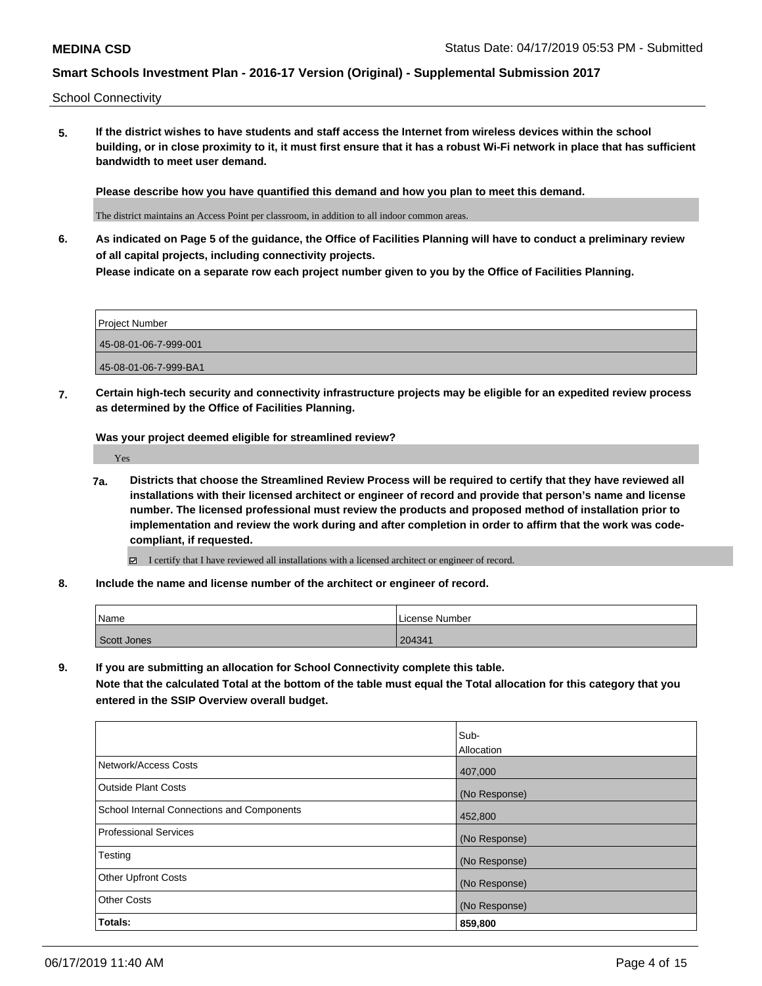School Connectivity

**5. If the district wishes to have students and staff access the Internet from wireless devices within the school building, or in close proximity to it, it must first ensure that it has a robust Wi-Fi network in place that has sufficient bandwidth to meet user demand.**

**Please describe how you have quantified this demand and how you plan to meet this demand.**

The district maintains an Access Point per classroom, in addition to all indoor common areas.

**6. As indicated on Page 5 of the guidance, the Office of Facilities Planning will have to conduct a preliminary review of all capital projects, including connectivity projects. Please indicate on a separate row each project number given to you by the Office of Facilities Planning.**

Project Number 45-08-01-06-7-999-001 45-08-01-06-7-999-BA1

**7. Certain high-tech security and connectivity infrastructure projects may be eligible for an expedited review process as determined by the Office of Facilities Planning.**

**Was your project deemed eligible for streamlined review?**

Yes

- **7a. Districts that choose the Streamlined Review Process will be required to certify that they have reviewed all installations with their licensed architect or engineer of record and provide that person's name and license number. The licensed professional must review the products and proposed method of installation prior to implementation and review the work during and after completion in order to affirm that the work was codecompliant, if requested.**
	- I certify that I have reviewed all installations with a licensed architect or engineer of record.
- **8. Include the name and license number of the architect or engineer of record.**

| Name        | l License Number |
|-------------|------------------|
| Scott Jones | 204341           |

**9. If you are submitting an allocation for School Connectivity complete this table.**

**Note that the calculated Total at the bottom of the table must equal the Total allocation for this category that you entered in the SSIP Overview overall budget.** 

|                                            | Sub-          |
|--------------------------------------------|---------------|
|                                            | Allocation    |
| Network/Access Costs                       | 407,000       |
| Outside Plant Costs                        | (No Response) |
| School Internal Connections and Components | 452,800       |
| Professional Services                      | (No Response) |
| Testing                                    | (No Response) |
| <b>Other Upfront Costs</b>                 | (No Response) |
| <b>Other Costs</b>                         | (No Response) |
| Totals:                                    | 859,800       |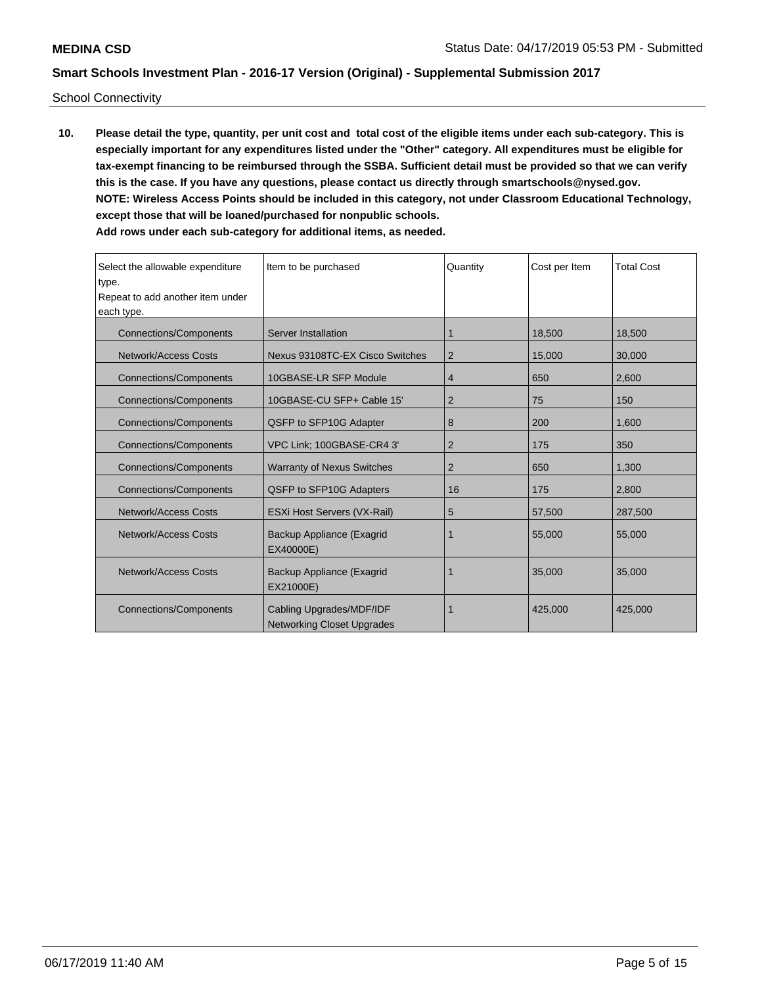School Connectivity

**10. Please detail the type, quantity, per unit cost and total cost of the eligible items under each sub-category. This is especially important for any expenditures listed under the "Other" category. All expenditures must be eligible for tax-exempt financing to be reimbursed through the SSBA. Sufficient detail must be provided so that we can verify this is the case. If you have any questions, please contact us directly through smartschools@nysed.gov. NOTE: Wireless Access Points should be included in this category, not under Classroom Educational Technology, except those that will be loaned/purchased for nonpublic schools. Add rows under each sub-category for additional items, as needed.**

| Select the allowable expenditure<br>type.<br>Repeat to add another item under<br>each type. | Item to be purchased                                          | Quantity       | Cost per Item | <b>Total Cost</b> |
|---------------------------------------------------------------------------------------------|---------------------------------------------------------------|----------------|---------------|-------------------|
| <b>Connections/Components</b>                                                               | Server Installation                                           | 1              | 18,500        | 18,500            |
| Network/Access Costs                                                                        | Nexus 93108TC-EX Cisco Switches                               | $\overline{2}$ | 15,000        | 30,000            |
| Connections/Components                                                                      | 10GBASE-LR SFP Module                                         | 4              | 650           | 2,600             |
| <b>Connections/Components</b>                                                               | 10GBASE-CU SFP+ Cable 15'                                     | 2              | 75            | 150               |
| Connections/Components                                                                      | QSFP to SFP10G Adapter                                        | 8              | 200           | 1,600             |
| Connections/Components                                                                      | VPC Link; 100GBASE-CR4 3'                                     | 2              | 175           | 350               |
| <b>Connections/Components</b>                                                               | <b>Warranty of Nexus Switches</b>                             | $\overline{2}$ | 650           | 1,300             |
| <b>Connections/Components</b>                                                               | QSFP to SFP10G Adapters                                       | 16             | 175           | 2,800             |
| Network/Access Costs                                                                        | ESXi Host Servers (VX-Rail)                                   | 5              | 57,500        | 287,500           |
| Network/Access Costs                                                                        | Backup Appliance (Exagrid<br>EX40000E)                        | 1              | 55,000        | 55,000            |
| <b>Network/Access Costs</b>                                                                 | Backup Appliance (Exagrid<br>EX21000E)                        |                | 35,000        | 35,000            |
| <b>Connections/Components</b>                                                               | Cabling Upgrades/MDF/IDF<br><b>Networking Closet Upgrades</b> |                | 425,000       | 425,000           |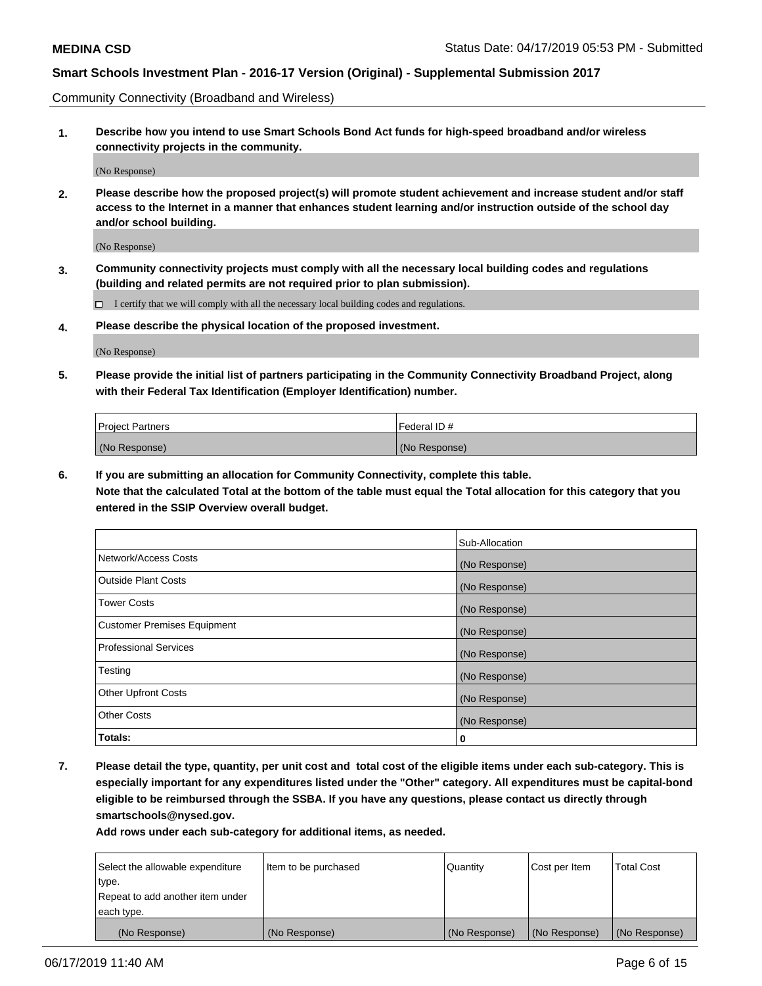Community Connectivity (Broadband and Wireless)

**1. Describe how you intend to use Smart Schools Bond Act funds for high-speed broadband and/or wireless connectivity projects in the community.**

(No Response)

**2. Please describe how the proposed project(s) will promote student achievement and increase student and/or staff access to the Internet in a manner that enhances student learning and/or instruction outside of the school day and/or school building.**

(No Response)

**3. Community connectivity projects must comply with all the necessary local building codes and regulations (building and related permits are not required prior to plan submission).**

 $\Box$  I certify that we will comply with all the necessary local building codes and regulations.

**4. Please describe the physical location of the proposed investment.**

(No Response)

**5. Please provide the initial list of partners participating in the Community Connectivity Broadband Project, along with their Federal Tax Identification (Employer Identification) number.**

| <b>Project Partners</b> | Federal ID#   |
|-------------------------|---------------|
| (No Response)           | (No Response) |

**6. If you are submitting an allocation for Community Connectivity, complete this table.**

**Note that the calculated Total at the bottom of the table must equal the Total allocation for this category that you entered in the SSIP Overview overall budget.**

|                                    | Sub-Allocation |
|------------------------------------|----------------|
| Network/Access Costs               | (No Response)  |
| <b>Outside Plant Costs</b>         | (No Response)  |
| <b>Tower Costs</b>                 | (No Response)  |
| <b>Customer Premises Equipment</b> | (No Response)  |
| <b>Professional Services</b>       | (No Response)  |
| Testing                            | (No Response)  |
| <b>Other Upfront Costs</b>         | (No Response)  |
| <b>Other Costs</b>                 | (No Response)  |
| Totals:                            | 0              |

**7. Please detail the type, quantity, per unit cost and total cost of the eligible items under each sub-category. This is especially important for any expenditures listed under the "Other" category. All expenditures must be capital-bond eligible to be reimbursed through the SSBA. If you have any questions, please contact us directly through smartschools@nysed.gov.**

| Select the allowable expenditure | Item to be purchased | Quantity      | Cost per Item | <b>Total Cost</b> |
|----------------------------------|----------------------|---------------|---------------|-------------------|
| type.                            |                      |               |               |                   |
| Repeat to add another item under |                      |               |               |                   |
| each type.                       |                      |               |               |                   |
| (No Response)                    | (No Response)        | (No Response) | (No Response) | (No Response)     |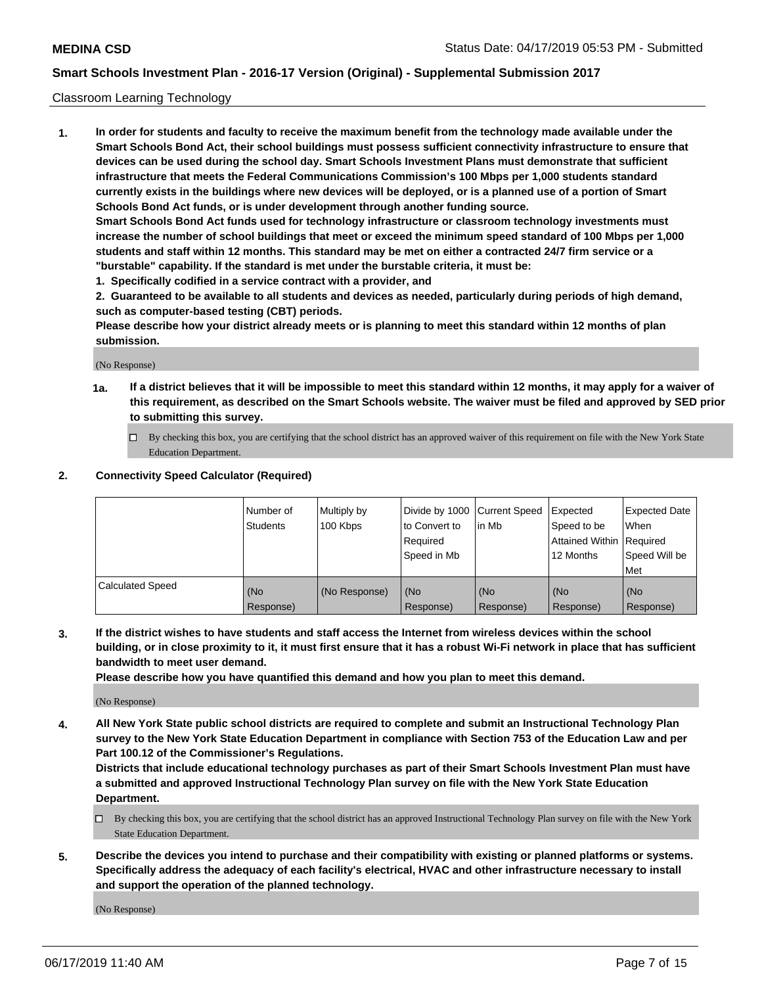### Classroom Learning Technology

**1. In order for students and faculty to receive the maximum benefit from the technology made available under the Smart Schools Bond Act, their school buildings must possess sufficient connectivity infrastructure to ensure that devices can be used during the school day. Smart Schools Investment Plans must demonstrate that sufficient infrastructure that meets the Federal Communications Commission's 100 Mbps per 1,000 students standard currently exists in the buildings where new devices will be deployed, or is a planned use of a portion of Smart Schools Bond Act funds, or is under development through another funding source. Smart Schools Bond Act funds used for technology infrastructure or classroom technology investments must increase the number of school buildings that meet or exceed the minimum speed standard of 100 Mbps per 1,000 students and staff within 12 months. This standard may be met on either a contracted 24/7 firm service or a**

- **"burstable" capability. If the standard is met under the burstable criteria, it must be:**
- **1. Specifically codified in a service contract with a provider, and**

**2. Guaranteed to be available to all students and devices as needed, particularly during periods of high demand, such as computer-based testing (CBT) periods.**

**Please describe how your district already meets or is planning to meet this standard within 12 months of plan submission.**

(No Response)

- **1a. If a district believes that it will be impossible to meet this standard within 12 months, it may apply for a waiver of this requirement, as described on the Smart Schools website. The waiver must be filed and approved by SED prior to submitting this survey.**
	- By checking this box, you are certifying that the school district has an approved waiver of this requirement on file with the New York State Education Department.

#### **2. Connectivity Speed Calculator (Required)**

|                         | I Number of<br>Students | Multiply by<br>100 Kbps | to Convert to<br>Required<br>Speed in Mb | Divide by 1000 Current Speed Expected<br>lin Mb | Speed to be<br>Attained Within Required<br>12 Months | <b>Expected Date</b><br>When<br>Speed Will be<br>Met |
|-------------------------|-------------------------|-------------------------|------------------------------------------|-------------------------------------------------|------------------------------------------------------|------------------------------------------------------|
| <b>Calculated Speed</b> | (No<br>Response)        | (No Response)           | (No<br>Response)                         | (No<br>Response)                                | (No<br>Response)                                     | (No<br>Response)                                     |

**3. If the district wishes to have students and staff access the Internet from wireless devices within the school building, or in close proximity to it, it must first ensure that it has a robust Wi-Fi network in place that has sufficient bandwidth to meet user demand.**

**Please describe how you have quantified this demand and how you plan to meet this demand.**

(No Response)

**4. All New York State public school districts are required to complete and submit an Instructional Technology Plan survey to the New York State Education Department in compliance with Section 753 of the Education Law and per Part 100.12 of the Commissioner's Regulations.**

**Districts that include educational technology purchases as part of their Smart Schools Investment Plan must have a submitted and approved Instructional Technology Plan survey on file with the New York State Education Department.**

- $\Box$  By checking this box, you are certifying that the school district has an approved Instructional Technology Plan survey on file with the New York State Education Department.
- **5. Describe the devices you intend to purchase and their compatibility with existing or planned platforms or systems. Specifically address the adequacy of each facility's electrical, HVAC and other infrastructure necessary to install and support the operation of the planned technology.**

(No Response)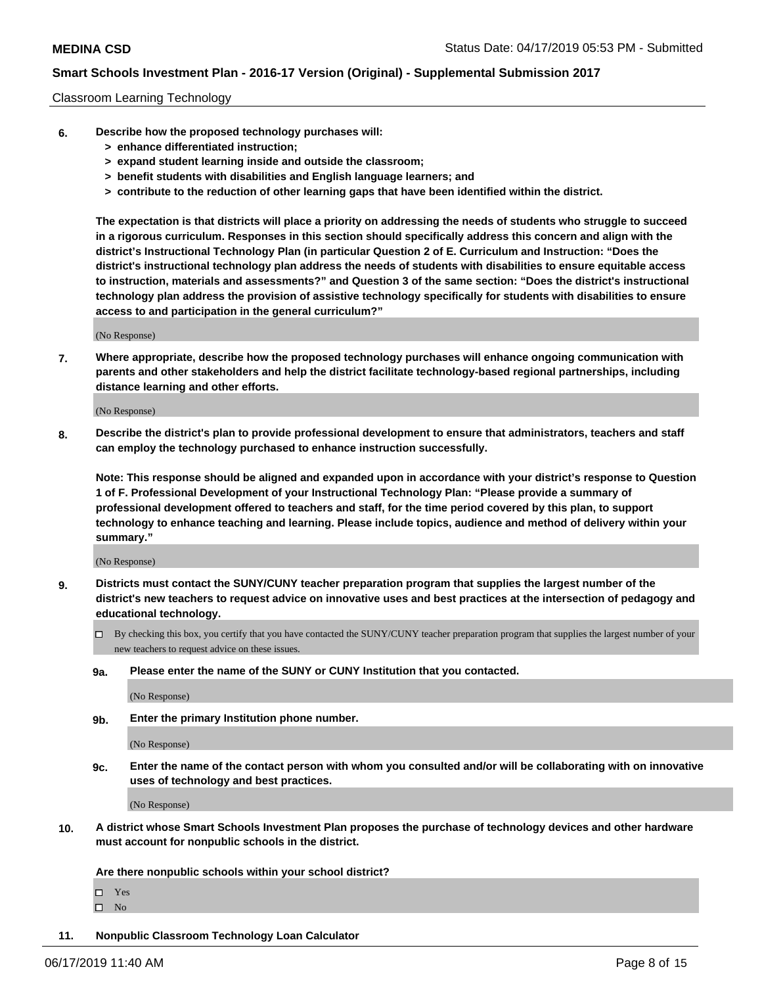#### Classroom Learning Technology

- **6. Describe how the proposed technology purchases will:**
	- **> enhance differentiated instruction;**
	- **> expand student learning inside and outside the classroom;**
	- **> benefit students with disabilities and English language learners; and**
	- **> contribute to the reduction of other learning gaps that have been identified within the district.**

**The expectation is that districts will place a priority on addressing the needs of students who struggle to succeed in a rigorous curriculum. Responses in this section should specifically address this concern and align with the district's Instructional Technology Plan (in particular Question 2 of E. Curriculum and Instruction: "Does the district's instructional technology plan address the needs of students with disabilities to ensure equitable access to instruction, materials and assessments?" and Question 3 of the same section: "Does the district's instructional technology plan address the provision of assistive technology specifically for students with disabilities to ensure access to and participation in the general curriculum?"**

(No Response)

**7. Where appropriate, describe how the proposed technology purchases will enhance ongoing communication with parents and other stakeholders and help the district facilitate technology-based regional partnerships, including distance learning and other efforts.**

(No Response)

**8. Describe the district's plan to provide professional development to ensure that administrators, teachers and staff can employ the technology purchased to enhance instruction successfully.**

**Note: This response should be aligned and expanded upon in accordance with your district's response to Question 1 of F. Professional Development of your Instructional Technology Plan: "Please provide a summary of professional development offered to teachers and staff, for the time period covered by this plan, to support technology to enhance teaching and learning. Please include topics, audience and method of delivery within your summary."**

(No Response)

- **9. Districts must contact the SUNY/CUNY teacher preparation program that supplies the largest number of the district's new teachers to request advice on innovative uses and best practices at the intersection of pedagogy and educational technology.**
	- By checking this box, you certify that you have contacted the SUNY/CUNY teacher preparation program that supplies the largest number of your new teachers to request advice on these issues.
	- **9a. Please enter the name of the SUNY or CUNY Institution that you contacted.**

(No Response)

**9b. Enter the primary Institution phone number.**

(No Response)

**9c. Enter the name of the contact person with whom you consulted and/or will be collaborating with on innovative uses of technology and best practices.**

(No Response)

**10. A district whose Smart Schools Investment Plan proposes the purchase of technology devices and other hardware must account for nonpublic schools in the district.**

**Are there nonpublic schools within your school district?**

Yes

 $\square$  No

**11. Nonpublic Classroom Technology Loan Calculator**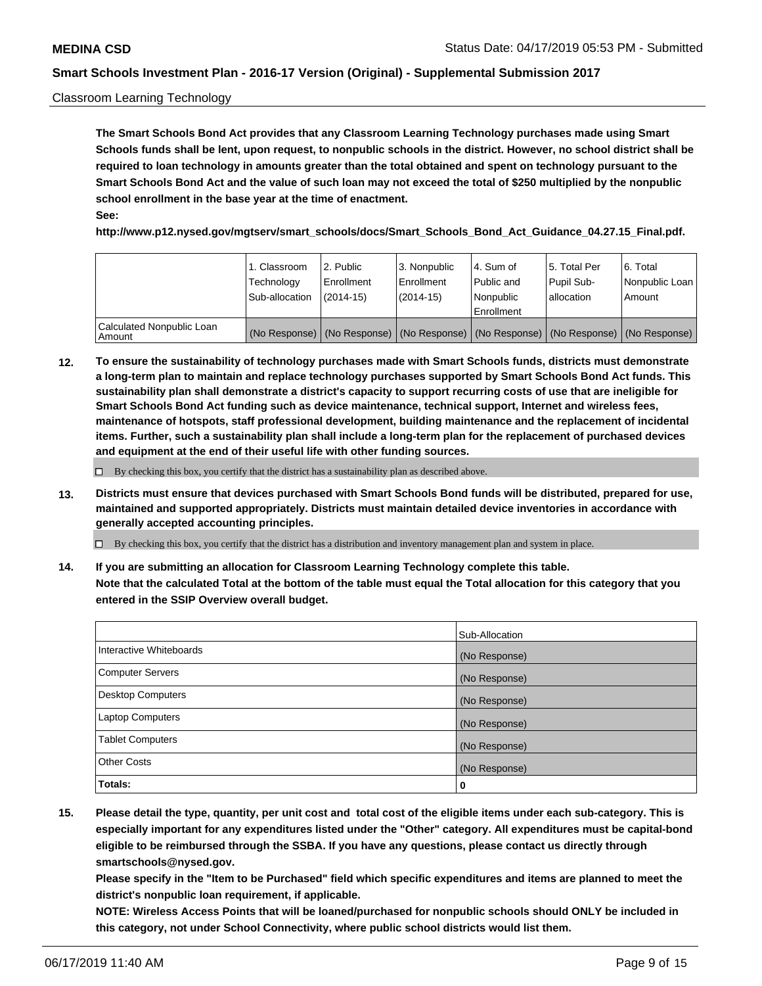### Classroom Learning Technology

**The Smart Schools Bond Act provides that any Classroom Learning Technology purchases made using Smart Schools funds shall be lent, upon request, to nonpublic schools in the district. However, no school district shall be required to loan technology in amounts greater than the total obtained and spent on technology pursuant to the Smart Schools Bond Act and the value of such loan may not exceed the total of \$250 multiplied by the nonpublic school enrollment in the base year at the time of enactment. See:**

**http://www.p12.nysed.gov/mgtserv/smart\_schools/docs/Smart\_Schools\_Bond\_Act\_Guidance\_04.27.15\_Final.pdf.**

|                                       | 1. Classroom<br>Technology<br>Sub-allocation | 2. Public<br>l Enrollment<br>(2014-15) | 3. Nonpublic<br>l Enrollment<br>$(2014 - 15)$ | l 4. Sum of<br>l Public and<br>l Nonpublic<br>Enrollment                                      | 15. Total Per<br>Pupil Sub-<br>l allocation | l 6. Total<br>Nonpublic Loan<br>Amount |
|---------------------------------------|----------------------------------------------|----------------------------------------|-----------------------------------------------|-----------------------------------------------------------------------------------------------|---------------------------------------------|----------------------------------------|
| Calculated Nonpublic Loan<br>l Amount |                                              |                                        |                                               | (No Response)   (No Response)   (No Response)   (No Response)   (No Response)   (No Response) |                                             |                                        |

**12. To ensure the sustainability of technology purchases made with Smart Schools funds, districts must demonstrate a long-term plan to maintain and replace technology purchases supported by Smart Schools Bond Act funds. This sustainability plan shall demonstrate a district's capacity to support recurring costs of use that are ineligible for Smart Schools Bond Act funding such as device maintenance, technical support, Internet and wireless fees, maintenance of hotspots, staff professional development, building maintenance and the replacement of incidental items. Further, such a sustainability plan shall include a long-term plan for the replacement of purchased devices and equipment at the end of their useful life with other funding sources.**

 $\Box$  By checking this box, you certify that the district has a sustainability plan as described above.

**13. Districts must ensure that devices purchased with Smart Schools Bond funds will be distributed, prepared for use, maintained and supported appropriately. Districts must maintain detailed device inventories in accordance with generally accepted accounting principles.**

By checking this box, you certify that the district has a distribution and inventory management plan and system in place.

**14. If you are submitting an allocation for Classroom Learning Technology complete this table. Note that the calculated Total at the bottom of the table must equal the Total allocation for this category that you entered in the SSIP Overview overall budget.**

|                          | Sub-Allocation |
|--------------------------|----------------|
| Interactive Whiteboards  | (No Response)  |
| <b>Computer Servers</b>  | (No Response)  |
| <b>Desktop Computers</b> | (No Response)  |
| <b>Laptop Computers</b>  | (No Response)  |
| <b>Tablet Computers</b>  | (No Response)  |
| <b>Other Costs</b>       | (No Response)  |
| Totals:                  | 0              |

**15. Please detail the type, quantity, per unit cost and total cost of the eligible items under each sub-category. This is especially important for any expenditures listed under the "Other" category. All expenditures must be capital-bond eligible to be reimbursed through the SSBA. If you have any questions, please contact us directly through smartschools@nysed.gov.**

**Please specify in the "Item to be Purchased" field which specific expenditures and items are planned to meet the district's nonpublic loan requirement, if applicable.**

**NOTE: Wireless Access Points that will be loaned/purchased for nonpublic schools should ONLY be included in this category, not under School Connectivity, where public school districts would list them.**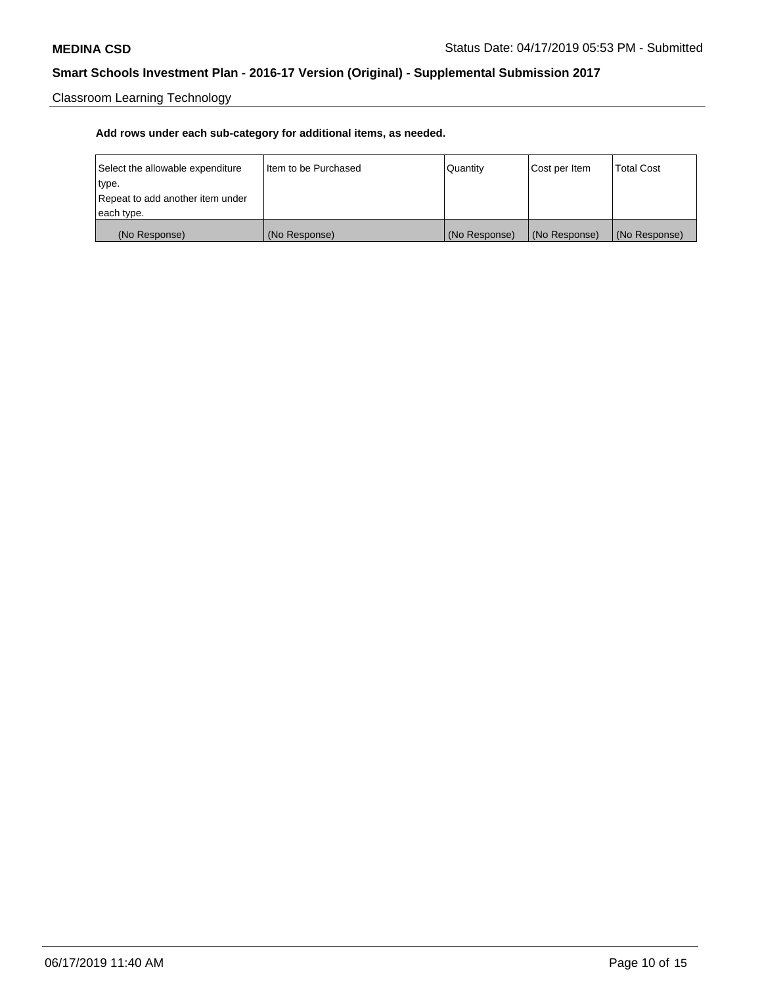Classroom Learning Technology

| Select the allowable expenditure | Iltem to be Purchased | Quantity      | Cost per Item | <b>Total Cost</b> |
|----------------------------------|-----------------------|---------------|---------------|-------------------|
| type.                            |                       |               |               |                   |
| Repeat to add another item under |                       |               |               |                   |
| each type.                       |                       |               |               |                   |
| (No Response)                    | (No Response)         | (No Response) | (No Response) | (No Response)     |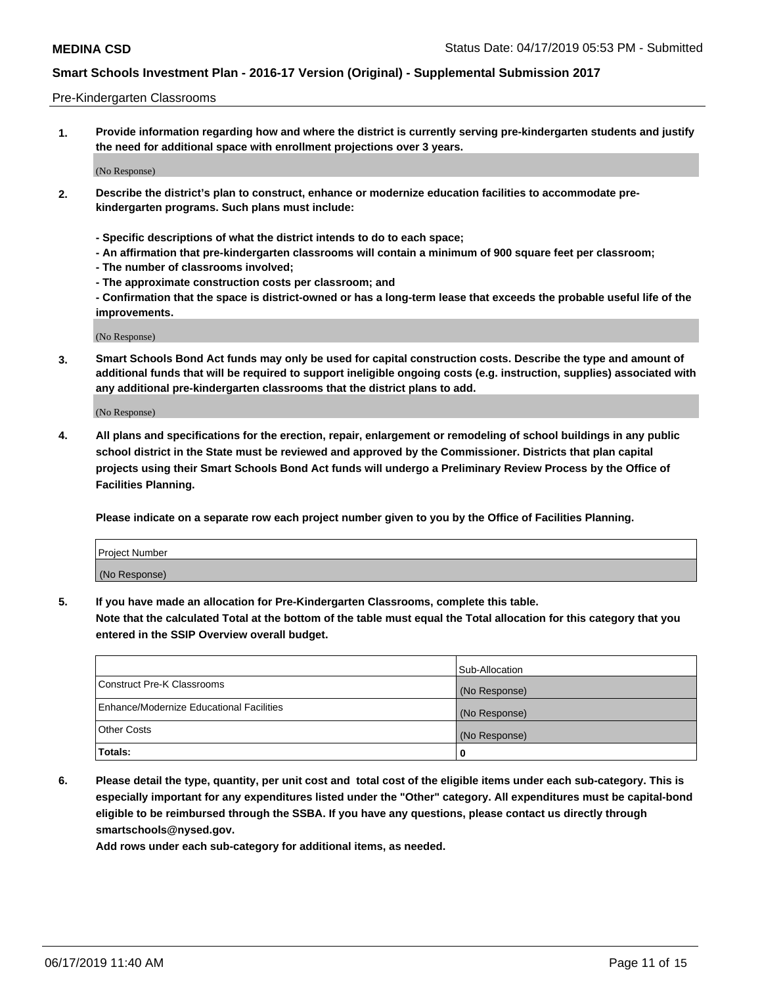#### Pre-Kindergarten Classrooms

**1. Provide information regarding how and where the district is currently serving pre-kindergarten students and justify the need for additional space with enrollment projections over 3 years.**

(No Response)

- **2. Describe the district's plan to construct, enhance or modernize education facilities to accommodate prekindergarten programs. Such plans must include:**
	- **Specific descriptions of what the district intends to do to each space;**
	- **An affirmation that pre-kindergarten classrooms will contain a minimum of 900 square feet per classroom;**
	- **The number of classrooms involved;**
	- **The approximate construction costs per classroom; and**
	- **Confirmation that the space is district-owned or has a long-term lease that exceeds the probable useful life of the improvements.**

(No Response)

**3. Smart Schools Bond Act funds may only be used for capital construction costs. Describe the type and amount of additional funds that will be required to support ineligible ongoing costs (e.g. instruction, supplies) associated with any additional pre-kindergarten classrooms that the district plans to add.**

(No Response)

**4. All plans and specifications for the erection, repair, enlargement or remodeling of school buildings in any public school district in the State must be reviewed and approved by the Commissioner. Districts that plan capital projects using their Smart Schools Bond Act funds will undergo a Preliminary Review Process by the Office of Facilities Planning.**

**Please indicate on a separate row each project number given to you by the Office of Facilities Planning.**

| Project Number |  |
|----------------|--|
| (No Response)  |  |
|                |  |

**5. If you have made an allocation for Pre-Kindergarten Classrooms, complete this table.**

**Note that the calculated Total at the bottom of the table must equal the Total allocation for this category that you entered in the SSIP Overview overall budget.**

|                                          | Sub-Allocation |
|------------------------------------------|----------------|
| Construct Pre-K Classrooms               | (No Response)  |
| Enhance/Modernize Educational Facilities | (No Response)  |
| <b>Other Costs</b>                       | (No Response)  |
| Totals:                                  | 0              |

**6. Please detail the type, quantity, per unit cost and total cost of the eligible items under each sub-category. This is especially important for any expenditures listed under the "Other" category. All expenditures must be capital-bond eligible to be reimbursed through the SSBA. If you have any questions, please contact us directly through smartschools@nysed.gov.**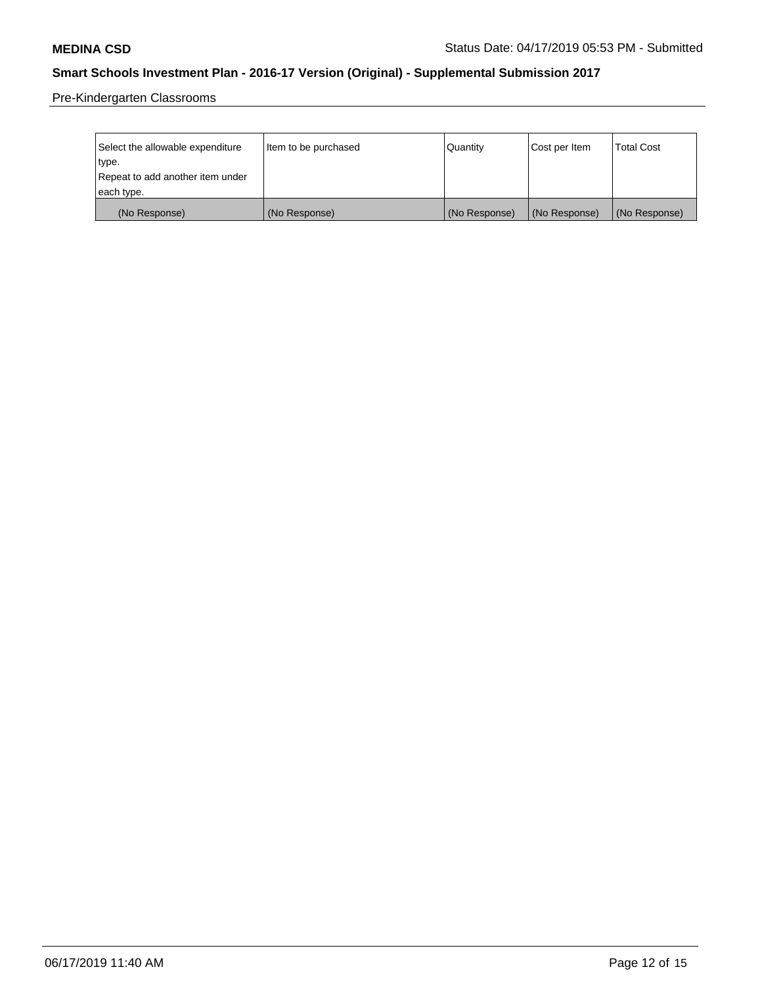Pre-Kindergarten Classrooms

| Select the allowable expenditure | Item to be purchased | Quantity      | Cost per Item | <b>Total Cost</b> |
|----------------------------------|----------------------|---------------|---------------|-------------------|
| type.                            |                      |               |               |                   |
| Repeat to add another item under |                      |               |               |                   |
| each type.                       |                      |               |               |                   |
| (No Response)                    | (No Response)        | (No Response) | (No Response) | (No Response)     |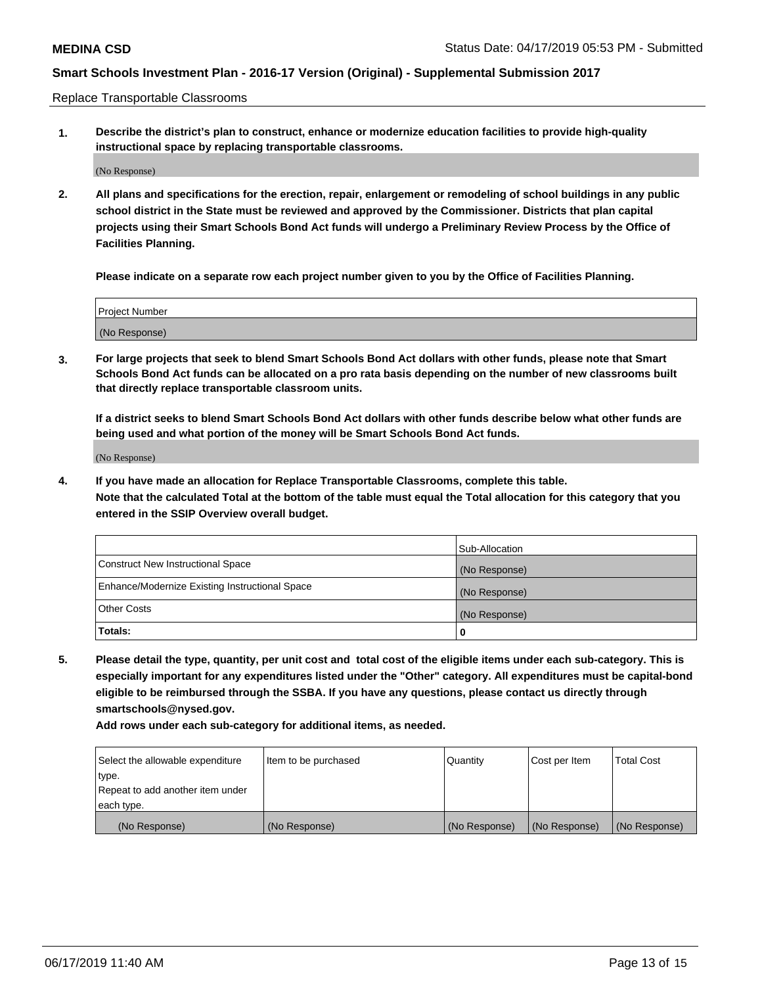Replace Transportable Classrooms

**1. Describe the district's plan to construct, enhance or modernize education facilities to provide high-quality instructional space by replacing transportable classrooms.**

(No Response)

**2. All plans and specifications for the erection, repair, enlargement or remodeling of school buildings in any public school district in the State must be reviewed and approved by the Commissioner. Districts that plan capital projects using their Smart Schools Bond Act funds will undergo a Preliminary Review Process by the Office of Facilities Planning.**

**Please indicate on a separate row each project number given to you by the Office of Facilities Planning.**

| Project Number |  |
|----------------|--|
|                |  |
|                |  |
|                |  |
|                |  |
| (No Response)  |  |
|                |  |
|                |  |
|                |  |

**3. For large projects that seek to blend Smart Schools Bond Act dollars with other funds, please note that Smart Schools Bond Act funds can be allocated on a pro rata basis depending on the number of new classrooms built that directly replace transportable classroom units.**

**If a district seeks to blend Smart Schools Bond Act dollars with other funds describe below what other funds are being used and what portion of the money will be Smart Schools Bond Act funds.**

(No Response)

**4. If you have made an allocation for Replace Transportable Classrooms, complete this table. Note that the calculated Total at the bottom of the table must equal the Total allocation for this category that you entered in the SSIP Overview overall budget.**

|                                                | Sub-Allocation |
|------------------------------------------------|----------------|
| Construct New Instructional Space              | (No Response)  |
| Enhance/Modernize Existing Instructional Space | (No Response)  |
| <b>Other Costs</b>                             | (No Response)  |
| Totals:                                        | 0              |

**5. Please detail the type, quantity, per unit cost and total cost of the eligible items under each sub-category. This is especially important for any expenditures listed under the "Other" category. All expenditures must be capital-bond eligible to be reimbursed through the SSBA. If you have any questions, please contact us directly through smartschools@nysed.gov.**

| Select the allowable expenditure | Item to be purchased | l Quantitv    | Cost per Item | <b>Total Cost</b> |
|----------------------------------|----------------------|---------------|---------------|-------------------|
| type.                            |                      |               |               |                   |
| Repeat to add another item under |                      |               |               |                   |
| each type.                       |                      |               |               |                   |
| (No Response)                    | (No Response)        | (No Response) | (No Response) | (No Response)     |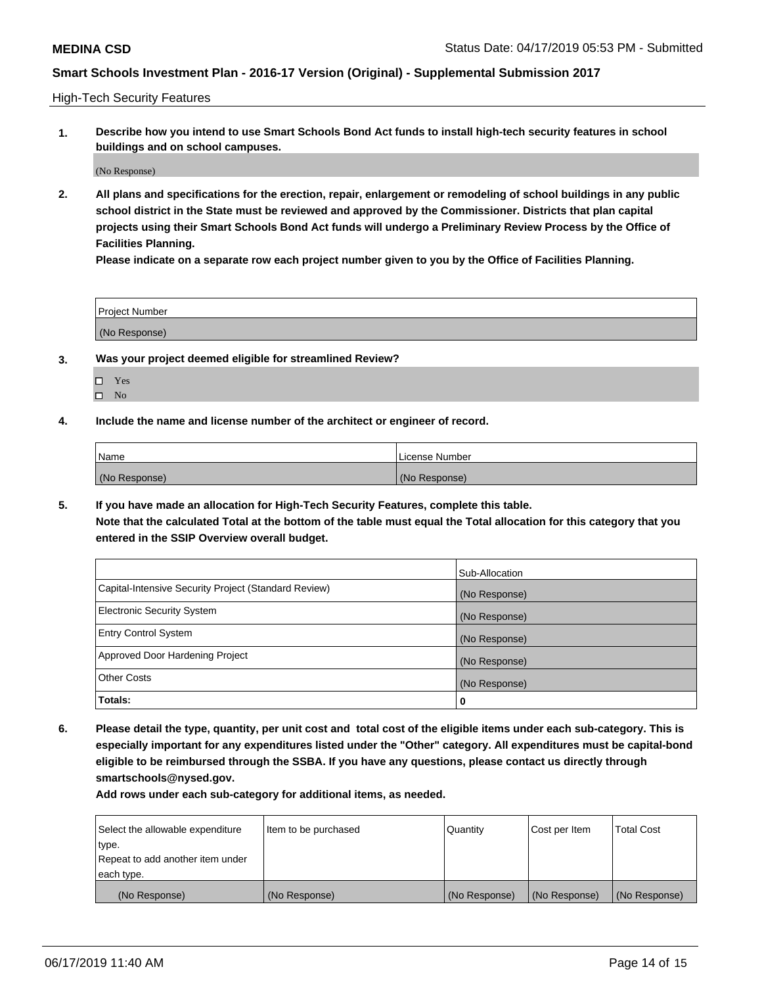High-Tech Security Features

**1. Describe how you intend to use Smart Schools Bond Act funds to install high-tech security features in school buildings and on school campuses.**

(No Response)

**2. All plans and specifications for the erection, repair, enlargement or remodeling of school buildings in any public school district in the State must be reviewed and approved by the Commissioner. Districts that plan capital projects using their Smart Schools Bond Act funds will undergo a Preliminary Review Process by the Office of Facilities Planning.** 

**Please indicate on a separate row each project number given to you by the Office of Facilities Planning.**

| <b>Project Number</b> |  |
|-----------------------|--|
| (No Response)         |  |

- **3. Was your project deemed eligible for streamlined Review?**
	- Yes
	- $\square$  No
- **4. Include the name and license number of the architect or engineer of record.**

| <b>Name</b>   | License Number |
|---------------|----------------|
| (No Response) | (No Response)  |

**5. If you have made an allocation for High-Tech Security Features, complete this table.**

**Note that the calculated Total at the bottom of the table must equal the Total allocation for this category that you entered in the SSIP Overview overall budget.**

|                                                      | Sub-Allocation |
|------------------------------------------------------|----------------|
| Capital-Intensive Security Project (Standard Review) | (No Response)  |
| <b>Electronic Security System</b>                    | (No Response)  |
| <b>Entry Control System</b>                          | (No Response)  |
| Approved Door Hardening Project                      | (No Response)  |
| <b>Other Costs</b>                                   | (No Response)  |
| Totals:                                              | 0              |

**6. Please detail the type, quantity, per unit cost and total cost of the eligible items under each sub-category. This is especially important for any expenditures listed under the "Other" category. All expenditures must be capital-bond eligible to be reimbursed through the SSBA. If you have any questions, please contact us directly through smartschools@nysed.gov.**

| Select the allowable expenditure | Item to be purchased | l Quantitv    | Cost per Item | <b>Total Cost</b> |
|----------------------------------|----------------------|---------------|---------------|-------------------|
| type.                            |                      |               |               |                   |
| Repeat to add another item under |                      |               |               |                   |
| each type.                       |                      |               |               |                   |
| (No Response)                    | (No Response)        | (No Response) | (No Response) | (No Response)     |